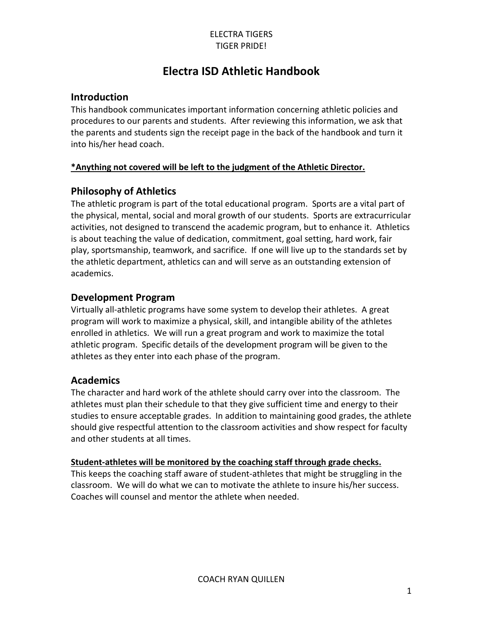# **Electra ISD Athletic Handbook**

## **Introduction**

This handbook communicates important information concerning athletic policies and procedures to our parents and students. After reviewing this information, we ask that the parents and students sign the receipt page in the back of the handbook and turn it into his/her head coach.

### **\*Anything not covered will be left to the judgment of the Athletic Director.**

# **Philosophy of Athletics**

The athletic program is part of the total educational program. Sports are a vital part of the physical, mental, social and moral growth of our students. Sports are extracurricular activities, not designed to transcend the academic program, but to enhance it. Athletics is about teaching the value of dedication, commitment, goal setting, hard work, fair play, sportsmanship, teamwork, and sacrifice. If one will live up to the standards set by the athletic department, athletics can and will serve as an outstanding extension of academics.

## **Development Program**

Virtually all-athletic programs have some system to develop their athletes. A great program will work to maximize a physical, skill, and intangible ability of the athletes enrolled in athletics. We will run a great program and work to maximize the total athletic program. Specific details of the development program will be given to the athletes as they enter into each phase of the program.

# **Academics**

The character and hard work of the athlete should carry over into the classroom. The athletes must plan their schedule to that they give sufficient time and energy to their studies to ensure acceptable grades. In addition to maintaining good grades, the athlete should give respectful attention to the classroom activities and show respect for faculty and other students at all times.

### **Student-athletes will be monitored by the coaching staff through grade checks.**

This keeps the coaching staff aware of student-athletes that might be struggling in the classroom. We will do what we can to motivate the athlete to insure his/her success. Coaches will counsel and mentor the athlete when needed.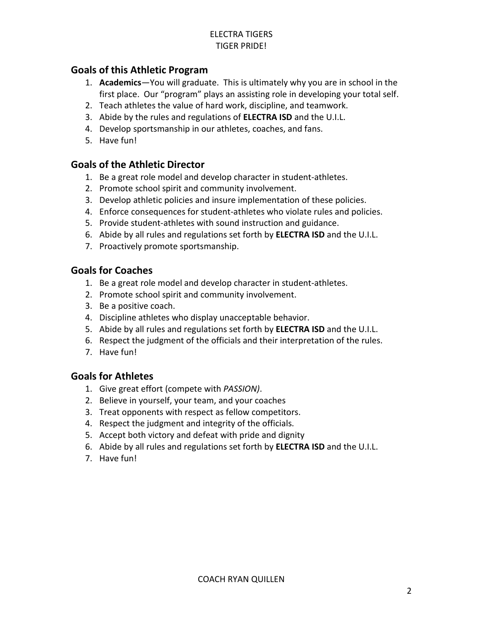## **Goals of this Athletic Program**

- 1. **Academics**—You will graduate. This is ultimately why you are in school in the first place. Our "program" plays an assisting role in developing your total self.
- 2. Teach athletes the value of hard work, discipline, and teamwork.
- 3. Abide by the rules and regulations of **ELECTRA ISD** and the U.I.L.
- 4. Develop sportsmanship in our athletes, coaches, and fans.
- 5. Have fun!

# **Goals of the Athletic Director**

- 1. Be a great role model and develop character in student-athletes.
- 2. Promote school spirit and community involvement.
- 3. Develop athletic policies and insure implementation of these policies.
- 4. Enforce consequences for student-athletes who violate rules and policies.
- 5. Provide student-athletes with sound instruction and guidance.
- 6. Abide by all rules and regulations set forth by **ELECTRA ISD** and the U.I.L.
- 7. Proactively promote sportsmanship.

## **Goals for Coaches**

- 1. Be a great role model and develop character in student-athletes.
- 2. Promote school spirit and community involvement.
- 3. Be a positive coach.
- 4. Discipline athletes who display unacceptable behavior.
- 5. Abide by all rules and regulations set forth by **ELECTRA ISD** and the U.I.L.
- 6. Respect the judgment of the officials and their interpretation of the rules.
- 7. Have fun!

### **Goals for Athletes**

- 1. Give great effort (compete with *PASSION)*.
- 2. Believe in yourself, your team, and your coaches
- 3. Treat opponents with respect as fellow competitors.
- 4. Respect the judgment and integrity of the officials.
- 5. Accept both victory and defeat with pride and dignity
- 6. Abide by all rules and regulations set forth by **ELECTRA ISD** and the U.I.L.
- 7. Have fun!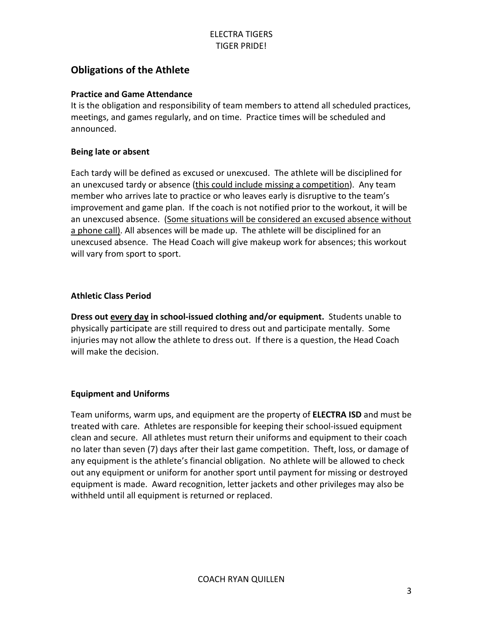# **Obligations of the Athlete**

#### **Practice and Game Attendance**

It is the obligation and responsibility of team members to attend all scheduled practices, meetings, and games regularly, and on time. Practice times will be scheduled and announced.

#### **Being late or absent**

Each tardy will be defined as excused or unexcused. The athlete will be disciplined for an unexcused tardy or absence (this could include missing a competition). Any team member who arrives late to practice or who leaves early is disruptive to the team's improvement and game plan. If the coach is not notified prior to the workout, it will be an unexcused absence. (Some situations will be considered an excused absence without a phone call). All absences will be made up. The athlete will be disciplined for an unexcused absence. The Head Coach will give makeup work for absences; this workout will vary from sport to sport.

#### **Athletic Class Period**

**Dress out every day in school-issued clothing and/or equipment.** Students unable to physically participate are still required to dress out and participate mentally. Some injuries may not allow the athlete to dress out. If there is a question, the Head Coach will make the decision.

#### **Equipment and Uniforms**

Team uniforms, warm ups, and equipment are the property of **ELECTRA ISD** and must be treated with care. Athletes are responsible for keeping their school-issued equipment clean and secure. All athletes must return their uniforms and equipment to their coach no later than seven (7) days after their last game competition. Theft, loss, or damage of any equipment is the athlete's financial obligation. No athlete will be allowed to check out any equipment or uniform for another sport until payment for missing or destroyed equipment is made. Award recognition, letter jackets and other privileges may also be withheld until all equipment is returned or replaced.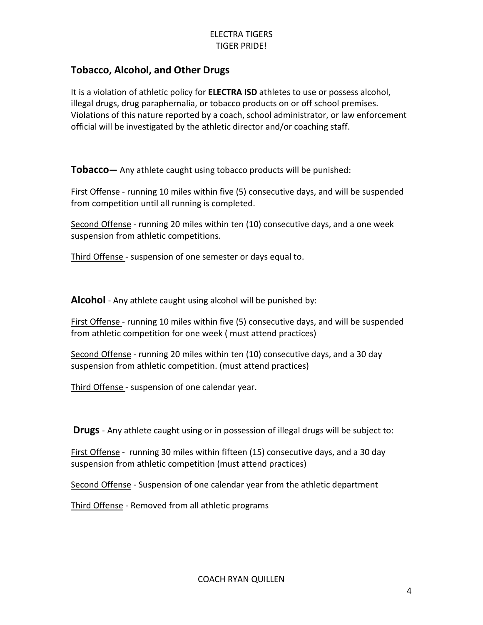# **Tobacco, Alcohol, and Other Drugs**

It is a violation of athletic policy for **ELECTRA ISD** athletes to use or possess alcohol, illegal drugs, drug paraphernalia, or tobacco products on or off school premises. Violations of this nature reported by a coach, school administrator, or law enforcement official will be investigated by the athletic director and/or coaching staff.

**Tobacco—** Any athlete caught using tobacco products will be punished:

First Offense - running 10 miles within five (5) consecutive days, and will be suspended from competition until all running is completed.

Second Offense - running 20 miles within ten (10) consecutive days, and a one week suspension from athletic competitions.

Third Offense - suspension of one semester or days equal to.

**Alcohol** - Any athlete caught using alcohol will be punished by:

First Offense - running 10 miles within five (5) consecutive days, and will be suspended from athletic competition for one week ( must attend practices)

Second Offense - running 20 miles within ten (10) consecutive days, and a 30 day suspension from athletic competition. (must attend practices)

Third Offense - suspension of one calendar year.

**Drugs** - Any athlete caught using or in possession of illegal drugs will be subject to:

First Offense - running 30 miles within fifteen (15) consecutive days, and a 30 day suspension from athletic competition (must attend practices)

Second Offense - Suspension of one calendar year from the athletic department

Third Offense - Removed from all athletic programs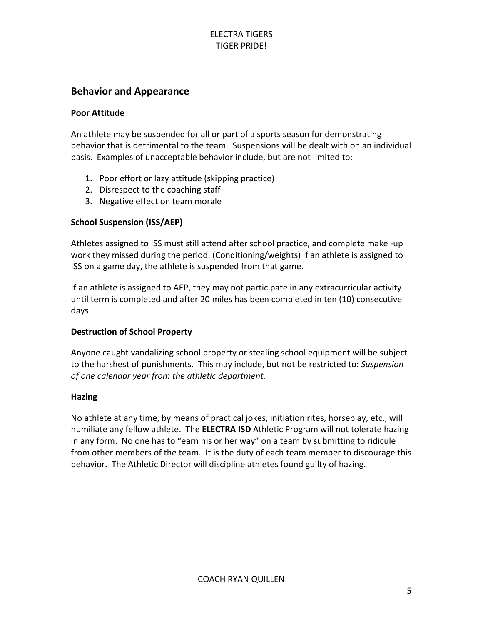## **Behavior and Appearance**

#### **Poor Attitude**

An athlete may be suspended for all or part of a sports season for demonstrating behavior that is detrimental to the team. Suspensions will be dealt with on an individual basis. Examples of unacceptable behavior include, but are not limited to:

- 1. Poor effort or lazy attitude (skipping practice)
- 2. Disrespect to the coaching staff
- 3. Negative effect on team morale

### **School Suspension (ISS/AEP)**

Athletes assigned to ISS must still attend after school practice, and complete make -up work they missed during the period. (Conditioning/weights) If an athlete is assigned to ISS on a game day, the athlete is suspended from that game.

If an athlete is assigned to AEP, they may not participate in any extracurricular activity until term is completed and after 20 miles has been completed in ten (10) consecutive days

### **Destruction of School Property**

Anyone caught vandalizing school property or stealing school equipment will be subject to the harshest of punishments. This may include, but not be restricted to: *Suspension of one calendar year from the athletic department.*

### **Hazing**

No athlete at any time, by means of practical jokes, initiation rites, horseplay, etc., will humiliate any fellow athlete. The **ELECTRA ISD** Athletic Program will not tolerate hazing in any form. No one has to "earn his or her way" on a team by submitting to ridicule from other members of the team. It is the duty of each team member to discourage this behavior. The Athletic Director will discipline athletes found guilty of hazing.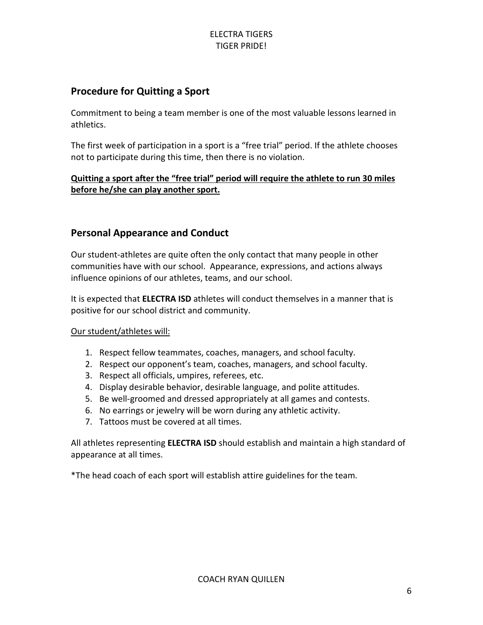# **Procedure for Quitting a Sport**

Commitment to being a team member is one of the most valuable lessons learned in athletics.

The first week of participation in a sport is a "free trial" period. If the athlete chooses not to participate during this time, then there is no violation.

### **Quitting a sport after the "free trial" period will require the athlete to run 30 miles before he/she can play another sport.**

# **Personal Appearance and Conduct**

Our student-athletes are quite often the only contact that many people in other communities have with our school. Appearance, expressions, and actions always influence opinions of our athletes, teams, and our school.

It is expected that **ELECTRA ISD** athletes will conduct themselves in a manner that is positive for our school district and community.

### Our student/athletes will:

- 1. Respect fellow teammates, coaches, managers, and school faculty.
- 2. Respect our opponent's team, coaches, managers, and school faculty.
- 3. Respect all officials, umpires, referees, etc.
- 4. Display desirable behavior, desirable language, and polite attitudes.
- 5. Be well-groomed and dressed appropriately at all games and contests.
- 6. No earrings or jewelry will be worn during any athletic activity.
- 7. Tattoos must be covered at all times.

All athletes representing **ELECTRA ISD** should establish and maintain a high standard of appearance at all times.

\*The head coach of each sport will establish attire guidelines for the team.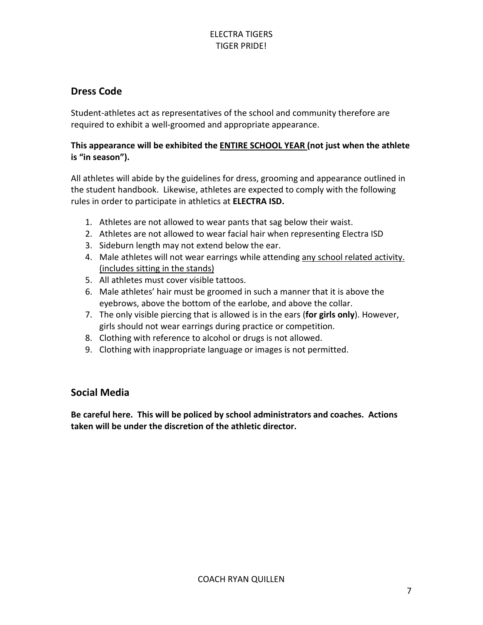# **Dress Code**

Student-athletes act as representatives of the school and community therefore are required to exhibit a well-groomed and appropriate appearance.

### **This appearance will be exhibited the ENTIRE SCHOOL YEAR (not just when the athlete is "in season").**

All athletes will abide by the guidelines for dress, grooming and appearance outlined in the student handbook. Likewise, athletes are expected to comply with the following rules in order to participate in athletics at **ELECTRA ISD.**

- 1. Athletes are not allowed to wear pants that sag below their waist.
- 2. Athletes are not allowed to wear facial hair when representing Electra ISD
- 3. Sideburn length may not extend below the ear.
- 4. Male athletes will not wear earrings while attending any school related activity. (includes sitting in the stands)
- 5. All athletes must cover visible tattoos.
- 6. Male athletes' hair must be groomed in such a manner that it is above the eyebrows, above the bottom of the earlobe, and above the collar.
- 7. The only visible piercing that is allowed is in the ears (**for girls only**). However, girls should not wear earrings during practice or competition.
- 8. Clothing with reference to alcohol or drugs is not allowed.
- 9. Clothing with inappropriate language or images is not permitted.

# **Social Media**

**Be careful here. This will be policed by school administrators and coaches. Actions taken will be under the discretion of the athletic director.**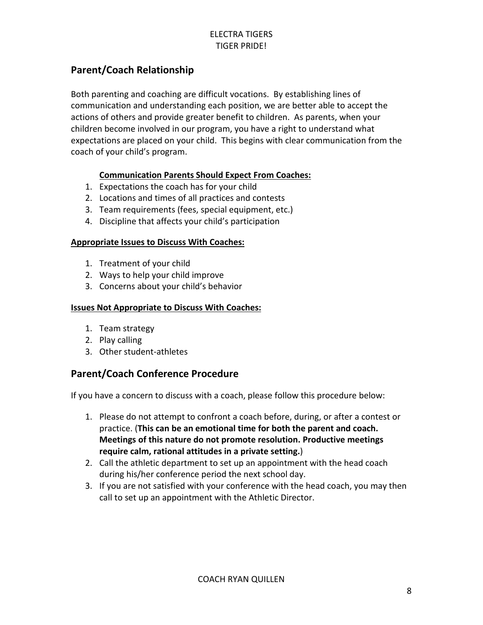# **Parent/Coach Relationship**

Both parenting and coaching are difficult vocations. By establishing lines of communication and understanding each position, we are better able to accept the actions of others and provide greater benefit to children. As parents, when your children become involved in our program, you have a right to understand what expectations are placed on your child. This begins with clear communication from the coach of your child's program.

### **Communication Parents Should Expect From Coaches:**

- 1. Expectations the coach has for your child
- 2. Locations and times of all practices and contests
- 3. Team requirements (fees, special equipment, etc.)
- 4. Discipline that affects your child's participation

### **Appropriate Issues to Discuss With Coaches:**

- 1. Treatment of your child
- 2. Ways to help your child improve
- 3. Concerns about your child's behavior

#### **Issues Not Appropriate to Discuss With Coaches:**

- 1. Team strategy
- 2. Play calling
- 3. Other student-athletes

# **Parent/Coach Conference Procedure**

If you have a concern to discuss with a coach, please follow this procedure below:

- 1. Please do not attempt to confront a coach before, during, or after a contest or practice. (**This can be an emotional time for both the parent and coach. Meetings of this nature do not promote resolution. Productive meetings require calm, rational attitudes in a private setting.**)
- 2. Call the athletic department to set up an appointment with the head coach during his/her conference period the next school day.
- 3. If you are not satisfied with your conference with the head coach, you may then call to set up an appointment with the Athletic Director.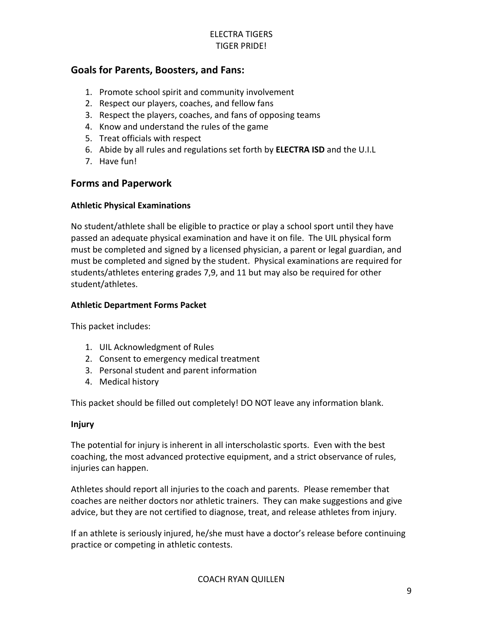## **Goals for Parents, Boosters, and Fans:**

- 1. Promote school spirit and community involvement
- 2. Respect our players, coaches, and fellow fans
- 3. Respect the players, coaches, and fans of opposing teams
- 4. Know and understand the rules of the game
- 5. Treat officials with respect
- 6. Abide by all rules and regulations set forth by **ELECTRA ISD** and the U.I.L
- 7. Have fun!

### **Forms and Paperwork**

### **Athletic Physical Examinations**

No student/athlete shall be eligible to practice or play a school sport until they have passed an adequate physical examination and have it on file. The UIL physical form must be completed and signed by a licensed physician, a parent or legal guardian, and must be completed and signed by the student. Physical examinations are required for students/athletes entering grades 7,9, and 11 but may also be required for other student/athletes.

### **Athletic Department Forms Packet**

This packet includes:

- 1. UIL Acknowledgment of Rules
- 2. Consent to emergency medical treatment
- 3. Personal student and parent information
- 4. Medical history

This packet should be filled out completely! DO NOT leave any information blank.

#### **Injury**

The potential for injury is inherent in all interscholastic sports. Even with the best coaching, the most advanced protective equipment, and a strict observance of rules, injuries can happen.

Athletes should report all injuries to the coach and parents. Please remember that coaches are neither doctors nor athletic trainers. They can make suggestions and give advice, but they are not certified to diagnose, treat, and release athletes from injury.

If an athlete is seriously injured, he/she must have a doctor's release before continuing practice or competing in athletic contests.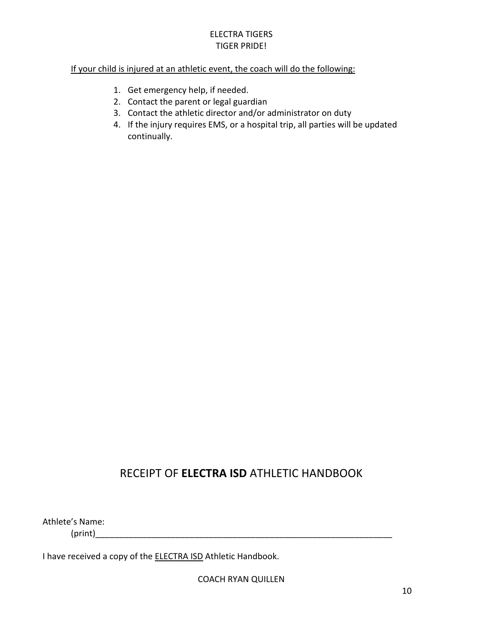#### If your child is injured at an athletic event, the coach will do the following:

- 1. Get emergency help, if needed.
- 2. Contact the parent or legal guardian
- 3. Contact the athletic director and/or administrator on duty
- 4. If the injury requires EMS, or a hospital trip, all parties will be updated continually.

# RECEIPT OF **ELECTRA ISD** ATHLETIC HANDBOOK

Athlete's Name:

 $(print)$ 

I have received a copy of the **ELECTRA ISD** Athletic Handbook.

COACH RYAN QUILLEN